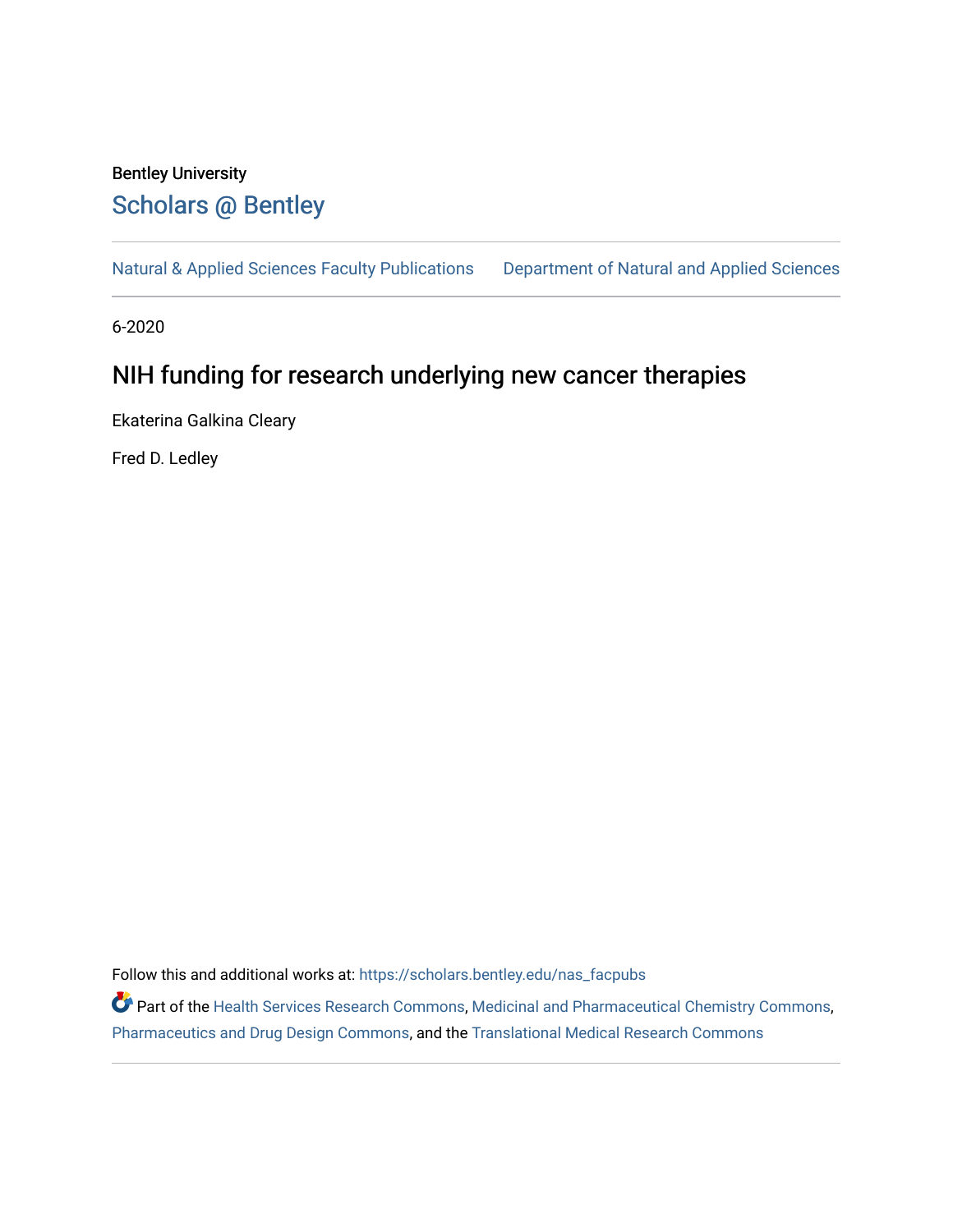## Bentley University [Scholars @ Bentley](https://scholars.bentley.edu/)

[Natural & Applied Sciences Faculty Publications](https://scholars.bentley.edu/nas_facpubs) [Department of Natural and Applied Sciences](https://scholars.bentley.edu/science) 

6-2020

## NIH funding for research underlying new cancer therapies

Ekaterina Galkina Cleary

Fred D. Ledley

Follow this and additional works at: [https://scholars.bentley.edu/nas\\_facpubs](https://scholars.bentley.edu/nas_facpubs?utm_source=scholars.bentley.edu%2Fnas_facpubs%2F18&utm_medium=PDF&utm_campaign=PDFCoverPages)

Part of the [Health Services Research Commons,](http://network.bepress.com/hgg/discipline/816?utm_source=scholars.bentley.edu%2Fnas_facpubs%2F18&utm_medium=PDF&utm_campaign=PDFCoverPages) [Medicinal and Pharmaceutical Chemistry Commons,](http://network.bepress.com/hgg/discipline/734?utm_source=scholars.bentley.edu%2Fnas_facpubs%2F18&utm_medium=PDF&utm_campaign=PDFCoverPages) [Pharmaceutics and Drug Design Commons](http://network.bepress.com/hgg/discipline/733?utm_source=scholars.bentley.edu%2Fnas_facpubs%2F18&utm_medium=PDF&utm_campaign=PDFCoverPages), and the [Translational Medical Research Commons](http://network.bepress.com/hgg/discipline/1124?utm_source=scholars.bentley.edu%2Fnas_facpubs%2F18&utm_medium=PDF&utm_campaign=PDFCoverPages)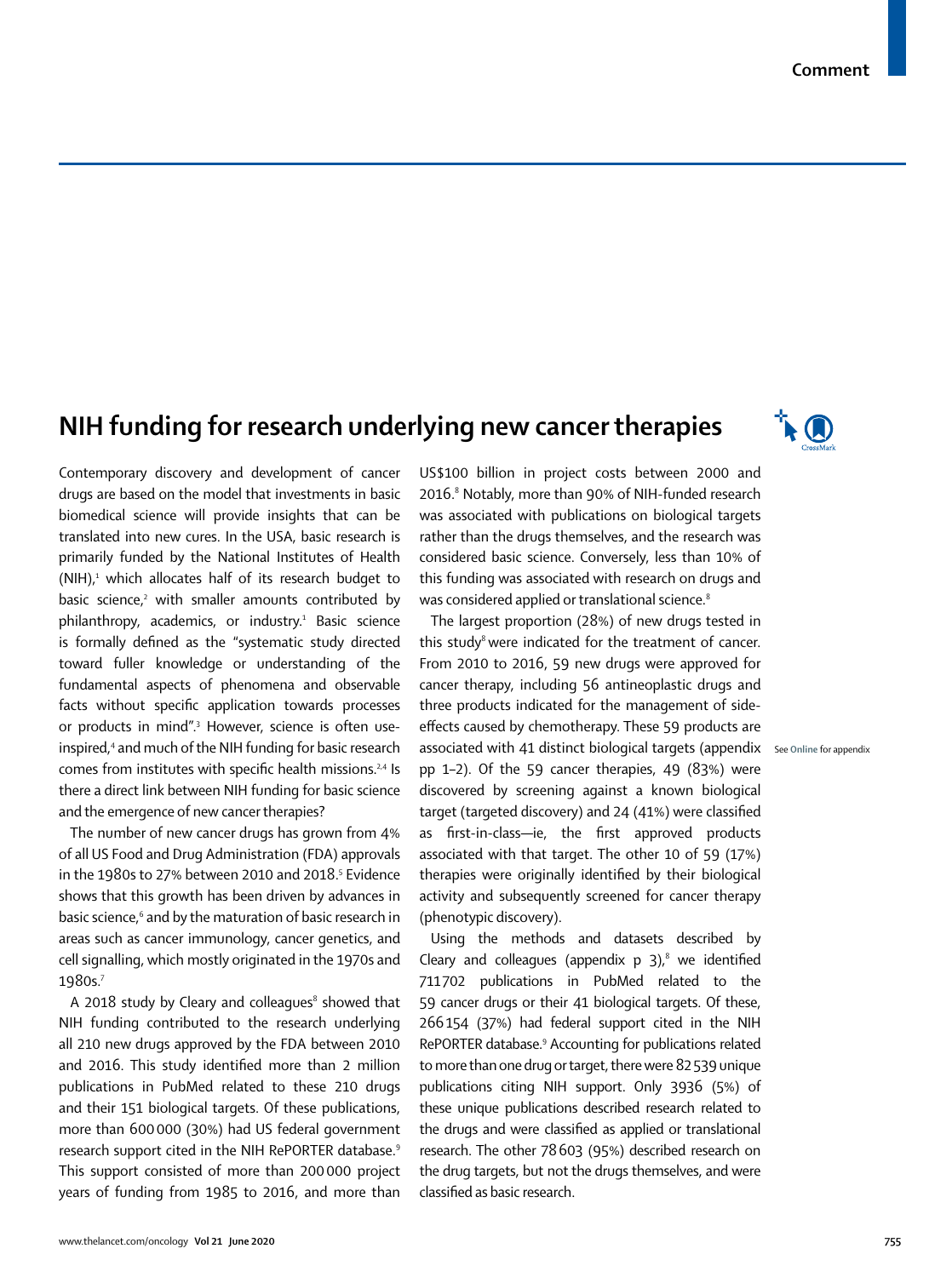## **NIH funding for research underlying new cancer therapies**



See **Online** for appendix

Contemporary discovery and development of cancer drugs are based on the model that investments in basic biomedical science will provide insights that can be translated into new cures. In the USA, basic research is primarily funded by the National Institutes of Health  $(NIH)$ ,<sup>1</sup> which allocates half of its research budget to basic science,<sup>2</sup> with smaller amounts contributed by philanthropy, academics, or industry.<sup>1</sup> Basic science is formally defined as the "systematic study directed toward fuller knowledge or understanding of the fundamental aspects of phenomena and observable facts without specific application towards processes or products in mind".<sup>3</sup> However, science is often useinspired,<sup>4</sup> and much of the NIH funding for basic research comes from institutes with specific health missions.<sup>2,4</sup> Is there a direct link between NIH funding for basic science and the emergence of new cancer therapies?

The number of new cancer drugs has grown from 4% of all US Food and Drug Administration (FDA) approvals in the 1980s to 27% between 2010 and 2018. $^5$  Evidence shows that this growth has been driven by advances in basic science,<sup>6</sup> and by the maturation of basic research in areas such as cancer immunology, cancer genetics, and cell signalling, which mostly originated in the 1970s and 1980s.7

A 2018 study by Cleary and colleagues<sup>8</sup> showed that NIH funding contributed to the research underlying all 210 new drugs approved by the FDA between 2010 and 2016. This study identified more than 2 million publications in PubMed related to these 210 drugs and their 151 biological targets. Of these publications, more than 600000 (30%) had US federal government research support cited in the NIH RePORTER database.9 This support consisted of more than 200000 project years of funding from 1985 to 2016, and more than

US\$100 billion in project costs between 2000 and 2016.<sup>8</sup> Notably, more than 90% of NIH-funded research was associated with publications on biological targets rather than the drugs themselves, and the research was considered basic science. Conversely, less than 10% of this funding was associated with research on drugs and was considered applied or translational science.<sup>8</sup>

The largest proportion (28%) of new drugs tested in this study $8$  were indicated for the treatment of cancer. From 2010 to 2016, 59 new drugs were approved for cancer therapy, including 56 antineoplastic drugs and three products indicated for the management of sideeffects caused by chemotherapy. These 59 products are associated with 41 distinct biological targets (appendix pp 1–2). Of the 59 cancer therapies, 49 (83%) were discovered by screening against a known biological target (targeted discovery) and 24 (41%) were classified as first-in-class—ie, the first approved products associated with that target. The other 10 of 59 (17%) therapies were originally identified by their biological activity and subsequently screened for cancer therapy (phenotypic discovery).

Using the methods and datasets described by Cleary and colleagues (appendix  $p$  3),<sup>8</sup> we identified 711702 publications in PubMed related to the 59 cancer drugs or their 41 biological targets. Of these, 266154 (37%) had federal support cited in the NIH RePORTER database.9 Accounting for publications related to more than one drug or target, there were 82539 unique publications citing NIH support. Only 3936 (5%) of these unique publications described research related to the drugs and were classified as applied or translational research. The other 78603 (95%) described research on the drug targets, but not the drugs themselves, and were classified as basic research.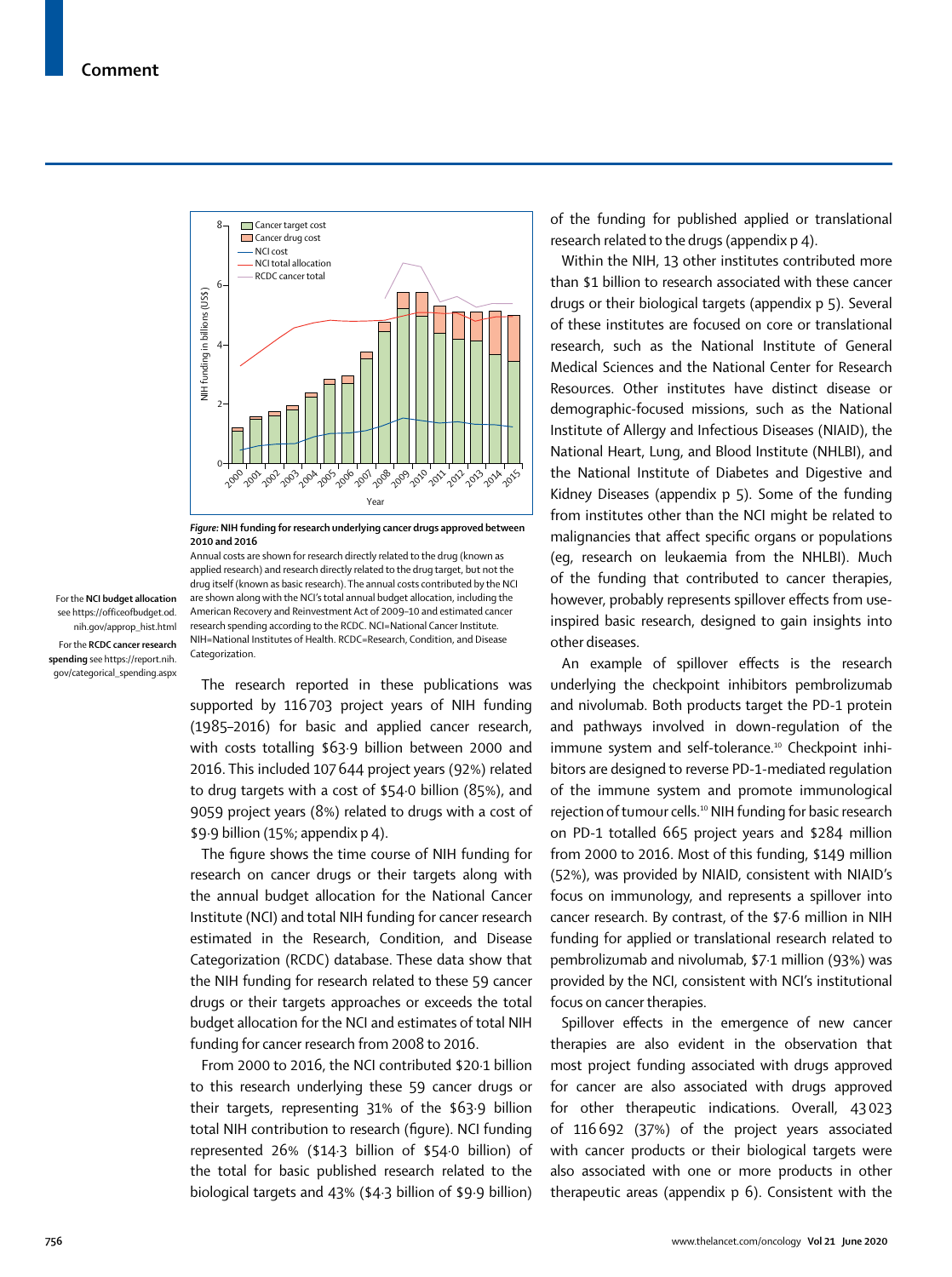

*Figure:***NIH funding for research underlying cancer drugs approved between 2010 and 2016**

For the **NCI budget allocation**  see https://officeofbudget.od. nih.gov/approp\_hist.html For the **RCDC cancer research spending** see https://report.nih. gov/categorical\_spending.aspx

Annual costs are shown for research directly related to the drug (known as applied research) and research directly related to the drug target, but not the drug itself (known as basic research). The annual costs contributed by the NCI are shown along with the NCI's total annual budget [allocation](https://officeofbudget.od.nih.gov/approp_hist.html), including the American Recovery and Reinvestment Act of 2009–10 and estimated cancer research spending according to the [RCDC](https://report.nih.gov/categorical_spending.aspx). NCI=National Cancer Institute. NIH=National Institutes of Health. RCDC=Research, Condition, and Disease Categorization.

The research reported in these publications was supported by 116703 project years of NIH funding (1985–2016) for basic and applied cancer research, with costs totalling \$63·9 billion between 2000 and 2016. This included 107644 project years (92%) related to drug targets with a cost of \$54·0 billion (85%), and 9059 project years (8%) related to drugs with a cost of \$9·9 billion (15%; appendix p 4).

The figure shows the time course of NIH funding for research on cancer drugs or their targets along with the annual budget allocation for the National Cancer Institute (NCI) and total NIH funding for cancer research estimated in the Research, Condition, and Disease Categorization (RCDC) database. These data show that the NIH funding for research related to these 59 cancer drugs or their targets approaches or exceeds the total budget allocation for the NCI and estimates of total NIH funding for cancer research from 2008 to 2016.

From 2000 to 2016, the NCI contributed \$20·1 billion to this research underlying these 59 cancer drugs or their targets, representing 31% of the \$63·9 billion total NIH contribution to research (figure). NCI funding represented 26% (\$14·3 billion of \$54·0 billion) of the total for basic published research related to the biological targets and 43% (\$4·3 billion of \$9·9 billion) of the funding for published applied or translational research related to the drugs (appendix p 4).

Within the NIH, 13 other institutes contributed more than \$1 billion to research associated with these cancer drugs or their biological targets (appendix p 5). Several of these institutes are focused on core or translational research, such as the National Institute of General Medical Sciences and the National Center for Research Resources. Other institutes have distinct disease or demographic-focused missions, such as the National Institute of Allergy and Infectious Diseases (NIAID), the National Heart, Lung, and Blood Institute (NHLBI), and the National Institute of Diabetes and Digestive and Kidney Diseases (appendix p 5). Some of the funding from institutes other than the NCI might be related to malignancies that affect specific organs or populations (eg, research on leukaemia from the NHLBI). Much of the funding that contributed to cancer therapies, however, probably represents spillover effects from useinspired basic research, designed to gain insights into other diseases.

An example of spillover effects is the research underlying the checkpoint inhibitors pembrolizumab and nivolumab. Both products target the PD-1 protein and pathways involved in down-regulation of the immune system and self-tolerance.<sup>10</sup> Checkpoint inhibitors are designed to reverse PD-1-mediated regulation of the immune system and promote immunological rejection of tumour cells.<sup>10</sup> NIH funding for basic research on PD-1 totalled 665 project years and \$284 million from 2000 to 2016. Most of this funding, \$149 million (52%), was provided by NIAID, consistent with NIAID's focus on immunology, and represents a spillover into cancer research. By contrast, of the \$7·6 million in NIH funding for applied or translational research related to pembrolizumab and nivolumab, \$7·1 million (93%) was provided by the NCI, consistent with NCI's institutional focus on cancer therapies.

Spillover effects in the emergence of new cancer therapies are also evident in the observation that most project funding associated with drugs approved for cancer are also associated with drugs approved for other therapeutic indications. Overall, 43023 of 116692 (37%) of the project years associated with cancer products or their biological targets were also associated with one or more products in other therapeutic areas (appendix p 6). Consistent with the